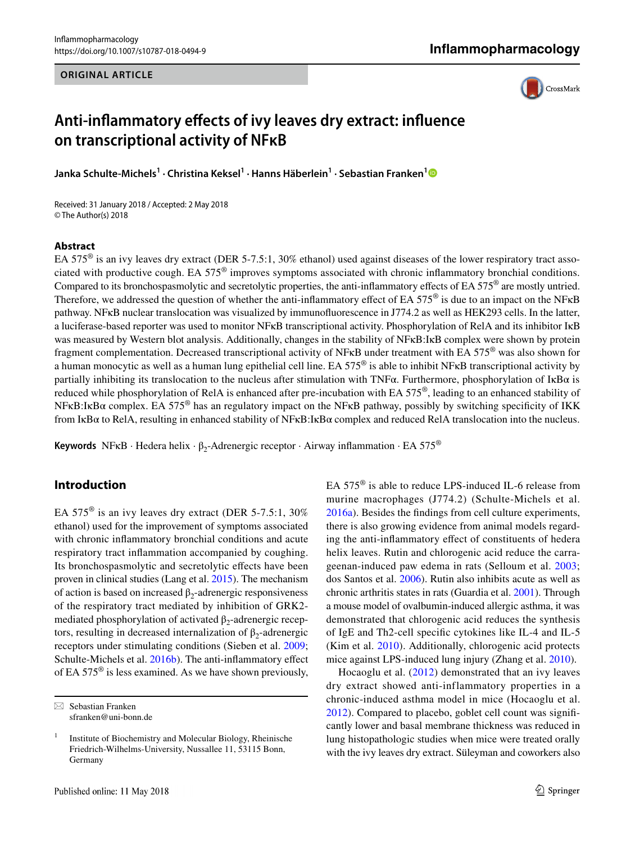#### **ORIGINAL ARTICLE**



# **Anti‑infammatory efects of ivy leaves dry extract: infuence on transcriptional activity of NFκB**

**Janka Schulte‑Michels1 · Christina Keksel1 · Hanns Häberlein1 · Sebastian Franken[1](http://orcid.org/0000-0003-4844-6389)**

Received: 31 January 2018 / Accepted: 2 May 2018 © The Author(s) 2018

#### **Abstract**

EA 575® is an ivy leaves dry extract (DER 5-7.5:1, 30% ethanol) used against diseases of the lower respiratory tract associated with productive cough. EA 575® improves symptoms associated with chronic infammatory bronchial conditions. Compared to its bronchospasmolytic and secretolytic properties, the anti-inflammatory effects of EA 575 $^{\circ}$  are mostly untried. Therefore, we addressed the question of whether the anti-inflammatory effect of EA 575<sup>®</sup> is due to an impact on the NF<sub>K</sub>B pathway. NFκB nuclear translocation was visualized by immunofuorescence in J774.2 as well as HEK293 cells. In the latter, a luciferase-based reporter was used to monitor NFκB transcriptional activity. Phosphorylation of RelA and its inhibitor IκB was measured by Western blot analysis. Additionally, changes in the stability of NFκB:IκB complex were shown by protein fragment complementation. Decreased transcriptional activity of NF $\kappa$ B under treatment with EA 575<sup>®</sup> was also shown for a human monocytic as well as a human lung epithelial cell line. EA 575<sup>®</sup> is able to inhibit NFKB transcriptional activity by partially inhibiting its translocation to the nucleus after stimulation with TNFα. Furthermore, phosphorylation of IκBα is reduced while phosphorylation of RelA is enhanced after pre-incubation with EA 575®, leading to an enhanced stability of NFκB:IκBα complex. EA 575® has an regulatory impact on the NFκB pathway, possibly by switching specifcity of IKK from IκBα to RelA, resulting in enhanced stability of NFκB:IκBα complex and reduced RelA translocation into the nucleus.

**Keywords** NFκB · Hedera helix · β<sub>2</sub>-Adrenergic receptor · Airway inflammation · EA 575<sup>®</sup>

# **Introduction**

EA  $575^{\circ}$  is an ivy leaves dry extract (DER 5-7.5:1, 30%) ethanol) used for the improvement of symptoms associated with chronic infammatory bronchial conditions and acute respiratory tract infammation accompanied by coughing. Its bronchospasmolytic and secretolytic efects have been proven in clinical studies (Lang et al. [2015](#page-7-0)). The mechanism of action is based on increased  $β_2$ -adrenergic responsiveness of the respiratory tract mediated by inhibition of GRK2 mediated phosphorylation of activated  $\beta_2$ -adrenergic receptors, resulting in decreased internalization of  $β_2$ -adrenergic receptors under stimulating conditions (Sieben et al. [2009](#page-7-1); Schulte-Michels et al. [2016b\)](#page-7-2). The anti-inflammatory effect of EA 575® is less examined. As we have shown previously, EA 575® is able to reduce LPS-induced IL-6 release from murine macrophages (J774.2) (Schulte-Michels et al. [2016a\)](#page-7-3). Besides the fndings from cell culture experiments, there is also growing evidence from animal models regarding the anti-infammatory efect of constituents of hedera helix leaves. Rutin and chlorogenic acid reduce the carrageenan-induced paw edema in rats (Selloum et al. [2003](#page-7-4); dos Santos et al. [2006](#page-7-5)). Rutin also inhibits acute as well as chronic arthritis states in rats (Guardia et al. [2001\)](#page-7-6). Through a mouse model of ovalbumin-induced allergic asthma, it was demonstrated that chlorogenic acid reduces the synthesis of IgE and Th2-cell specifc cytokines like IL-4 and IL-5 (Kim et al. [2010\)](#page-7-7). Additionally, chlorogenic acid protects mice against LPS-induced lung injury (Zhang et al. [2010](#page-8-0)).

Hocaoglu et al. ([2012](#page-7-8)) demonstrated that an ivy leaves dry extract showed anti-inflammatory properties in a chronic-induced asthma model in mice (Hocaoglu et al. [2012](#page-7-8)). Compared to placebo, goblet cell count was signifcantly lower and basal membrane thickness was reduced in lung histopathologic studies when mice were treated orally with the ivy leaves dry extract. Süleyman and coworkers also

 $\boxtimes$  Sebastian Franken sfranken@uni-bonn.de

<sup>1</sup> Institute of Biochemistry and Molecular Biology, Rheinische Friedrich-Wilhelms-University, Nussallee 11, 53115 Bonn, Germany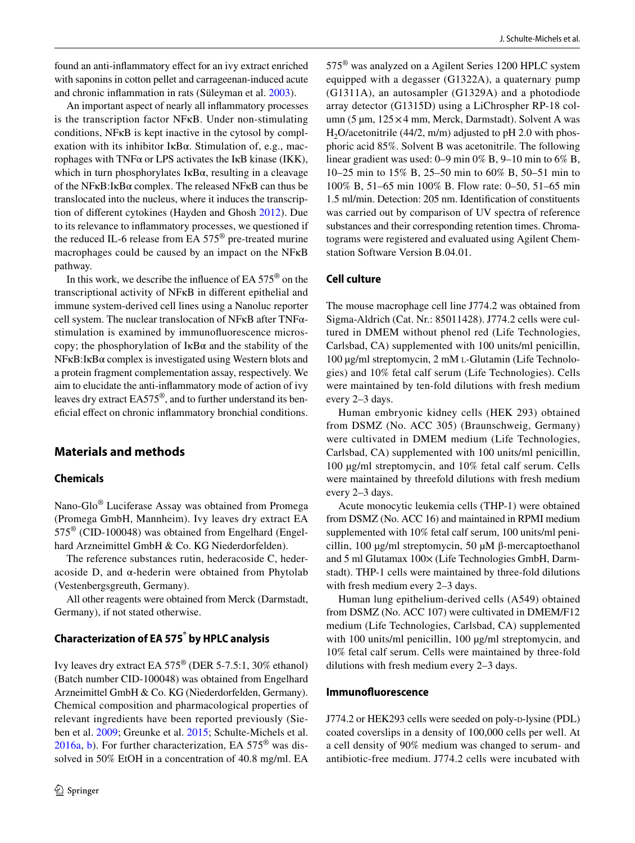found an anti-infammatory efect for an ivy extract enriched with saponins in cotton pellet and carrageenan-induced acute and chronic infammation in rats (Süleyman et al. [2003](#page-7-9)).

An important aspect of nearly all infammatory processes is the transcription factor NFκB. Under non-stimulating conditions, NFκB is kept inactive in the cytosol by complexation with its inhibitor IκBα. Stimulation of, e.g., macrophages with TNFα or LPS activates the IκB kinase (IKK), which in turn phosphorylates  $I \kappa B\alpha$ , resulting in a cleavage of the NFκB:IκBα complex. The released NFκB can thus be translocated into the nucleus, where it induces the transcription of diferent cytokines (Hayden and Ghosh [2012\)](#page-7-10). Due to its relevance to infammatory processes, we questioned if the reduced IL-6 release from EA  $575^{\circ}$  pre-treated murine macrophages could be caused by an impact on the NFκB pathway.

In this work, we describe the infuence of EA 575® on the transcriptional activity of NFκB in diferent epithelial and immune system-derived cell lines using a Nanoluc reporter cell system. The nuclear translocation of NFκB after TNFαstimulation is examined by immunofuorescence microscopy; the phosphorylation of  $I \kappa B\alpha$  and the stability of the NFκB:IκBα complex is investigated using Western blots and a protein fragment complementation assay, respectively. We aim to elucidate the anti-infammatory mode of action of ivy leaves dry extract EA575®, and to further understand its benefcial efect on chronic infammatory bronchial conditions.

## **Materials and methods**

#### **Chemicals**

Nano-Glo® Luciferase Assay was obtained from Promega (Promega GmbH, Mannheim). Ivy leaves dry extract EA 575® (CID-100048) was obtained from Engelhard (Engelhard Arzneimittel GmbH & Co. KG Niederdorfelden).

The reference substances rutin, hederacoside C, hederacoside D, and α-hederin were obtained from Phytolab (Vestenbergsgreuth, Germany).

All other reagents were obtained from Merck (Darmstadt, Germany), if not stated otherwise.

# **Characterization of EA 575® by HPLC analysis**

Ivy leaves dry extract EA 575® (DER 5-7.5:1, 30% ethanol) (Batch number CID-100048) was obtained from Engelhard Arzneimittel GmbH & Co. KG (Niederdorfelden, Germany). Chemical composition and pharmacological properties of relevant ingredients have been reported previously (Sieben et al. [2009;](#page-7-1) Greunke et al. [2015;](#page-7-11) Schulte-Michels et al. [2016a](#page-7-3), [b\)](#page-7-2). For further characterization, EA 575® was dissolved in 50% EtOH in a concentration of 40.8 mg/ml. EA 575® was analyzed on a Agilent Series 1200 HPLC system equipped with a degasser (G1322A), a quaternary pump (G1311A), an autosampler (G1329A) and a photodiode array detector (G1315D) using a LiChrospher RP-18 column (5 µm, 125×4 mm, Merck, Darmstadt). Solvent A was H<sub>2</sub>O/acetonitrile (44/2, m/m) adjusted to pH 2.0 with phosphoric acid 85%. Solvent B was acetonitrile. The following linear gradient was used: 0–9 min 0% B, 9–10 min to 6% B, 10–25 min to 15% B, 25–50 min to 60% B, 50–51 min to 100% B, 51–65 min 100% B. Flow rate: 0–50, 51–65 min 1.5 ml/min. Detection: 205 nm. Identifcation of constituents was carried out by comparison of UV spectra of reference substances and their corresponding retention times. Chromatograms were registered and evaluated using Agilent Chemstation Software Version B.04.01.

# **Cell culture**

The mouse macrophage cell line J774.2 was obtained from Sigma-Aldrich (Cat. Nr.: 85011428). J774.2 cells were cultured in DMEM without phenol red (Life Technologies, Carlsbad, CA) supplemented with 100 units/ml penicillin, 100 µg/ml streptomycin, 2 mM l-Glutamin (Life Technologies) and 10% fetal calf serum (Life Technologies). Cells were maintained by ten-fold dilutions with fresh medium every 2–3 days.

Human embryonic kidney cells (HEK 293) obtained from DSMZ (No. ACC 305) (Braunschweig, Germany) were cultivated in DMEM medium (Life Technologies, Carlsbad, CA) supplemented with 100 units/ml penicillin, 100 µg/ml streptomycin, and 10% fetal calf serum. Cells were maintained by threefold dilutions with fresh medium every 2–3 days.

Acute monocytic leukemia cells (THP-1) were obtained from DSMZ (No. ACC 16) and maintained in RPMI medium supplemented with 10% fetal calf serum, 100 units/ml penicillin, 100 µg/ml streptomycin, 50 µM β-mercaptoethanol and 5 ml Glutamax  $100\times$  (Life Technologies GmbH, Darmstadt). THP-1 cells were maintained by three-fold dilutions with fresh medium every 2–3 days.

Human lung epithelium-derived cells (A549) obtained from DSMZ (No. ACC 107) were cultivated in DMEM/F12 medium (Life Technologies, Carlsbad, CA) supplemented with 100 units/ml penicillin, 100 µg/ml streptomycin, and 10% fetal calf serum. Cells were maintained by three-fold dilutions with fresh medium every 2–3 days.

#### **Immunofuorescence**

J774.2 or HEK293 cells were seeded on poly-p-lysine (PDL) coated coverslips in a density of 100,000 cells per well. At a cell density of 90% medium was changed to serum- and antibiotic-free medium. J774.2 cells were incubated with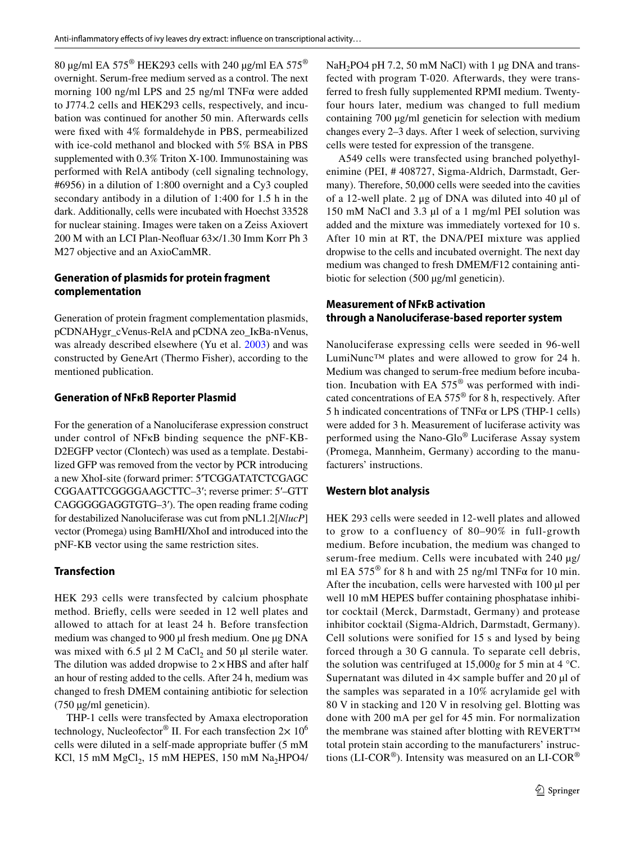80 μg/ml EA 575<sup>®</sup> HEK293 cells with 240 μg/ml EA 575<sup>®</sup> overnight. Serum-free medium served as a control. The next morning 100 ng/ml LPS and 25 ng/ml TNFα were added to J774.2 cells and HEK293 cells, respectively, and incubation was continued for another 50 min. Afterwards cells were fxed with 4% formaldehyde in PBS, permeabilized with ice-cold methanol and blocked with 5% BSA in PBS supplemented with 0.3% Triton X-100. Immunostaining was performed with RelA antibody (cell signaling technology, #6956) in a dilution of 1:800 overnight and a Cy3 coupled secondary antibody in a dilution of 1:400 for 1.5 h in the dark. Additionally, cells were incubated with Hoechst 33528 for nuclear staining. Images were taken on a Zeiss Axiovert 200 M with an LCI Plan-Neofuar 63×/1.30 Imm Korr Ph 3 M27 objective and an AxioCamMR.

# **Generation of plasmids for protein fragment complementation**

Generation of protein fragment complementation plasmids, pCDNAHygr\_cVenus-RelA and pCDNA zeo\_IκBa-nVenus, was already described elsewhere (Yu et al. [2003\)](#page-8-1) and was constructed by GeneArt (Thermo Fisher), according to the mentioned publication.

## **Generation of NFκB Reporter Plasmid**

For the generation of a Nanoluciferase expression construct under control of NFκB binding sequence the pNF-KB-D2EGFP vector (Clontech) was used as a template. Destabilized GFP was removed from the vector by PCR introducing a new XhoI-site (forward primer: 5′TCGGATATCTCGAGC CGGAATTCGGGGAAGCTTC–3′; reverse primer: 5′–GTT CAGGGGGAGGTGTG–3′). The open reading frame coding for destabilized Nanoluciferase was cut from pNL1.2[*NlucP*] vector (Promega) using BamHI/XhoI and introduced into the pNF-KB vector using the same restriction sites.

## **Transfection**

HEK 293 cells were transfected by calcium phosphate method. Briefy, cells were seeded in 12 well plates and allowed to attach for at least 24 h. Before transfection medium was changed to 900 µl fresh medium. One µg DNA was mixed with 6.5  $\mu$ l 2 M CaCl<sub>2</sub> and 50  $\mu$ l sterile water. The dilution was added dropwise to  $2 \times HBS$  and after half an hour of resting added to the cells. After 24 h, medium was changed to fresh DMEM containing antibiotic for selection (750 µg/ml geneticin).

THP-1 cells were transfected by Amaxa electroporation technology, Nucleofector<sup>®</sup> II. For each transfection  $2 \times 10^6$ cells were diluted in a self-made appropriate bufer (5 mM KCl, 15 mM  $MgCl<sub>2</sub>$ , 15 mM HEPES, 150 mM Na<sub>2</sub>HPO4/ NaH<sub>2</sub>PO4 pH 7.2, 50 mM NaCl) with 1 µg DNA and transfected with program T-020. Afterwards, they were transferred to fresh fully supplemented RPMI medium. Twentyfour hours later, medium was changed to full medium containing 700 µg/ml geneticin for selection with medium changes every 2–3 days. After 1 week of selection, surviving cells were tested for expression of the transgene.

A549 cells were transfected using branched polyethylenimine (PEI, # 408727, Sigma-Aldrich, Darmstadt, Germany). Therefore, 50,000 cells were seeded into the cavities of a 12-well plate. 2 μg of DNA was diluted into 40 µl of 150 mM NaCl and 3.3 µl of a 1 mg/ml PEI solution was added and the mixture was immediately vortexed for 10 s. After 10 min at RT, the DNA/PEI mixture was applied dropwise to the cells and incubated overnight. The next day medium was changed to fresh DMEM/F12 containing antibiotic for selection (500 µg/ml geneticin).

# **Measurement of NFκB activation through a Nanoluciferase‑based reporter system**

Nanoluciferase expressing cells were seeded in 96-well LumiNunc™ plates and were allowed to grow for 24 h. Medium was changed to serum-free medium before incubation. Incubation with EA 575® was performed with indicated concentrations of EA 575® for 8 h, respectively. After 5 h indicated concentrations of TNFα or LPS (THP-1 cells) were added for 3 h. Measurement of luciferase activity was performed using the Nano-Glo® Luciferase Assay system (Promega, Mannheim, Germany) according to the manufacturers' instructions.

## **Western blot analysis**

HEK 293 cells were seeded in 12-well plates and allowed to grow to a confluency of 80–90% in full-growth medium. Before incubation, the medium was changed to serum-free medium. Cells were incubated with 240 µg/ ml EA  $575^{\circ}$  for 8 h and with 25 ng/ml TNF $\alpha$  for 10 min. After the incubation, cells were harvested with 100 µl per well 10 mM HEPES buffer containing phosphatase inhibitor cocktail (Merck, Darmstadt, Germany) and protease inhibitor cocktail (Sigma-Aldrich, Darmstadt, Germany). Cell solutions were sonified for 15 s and lysed by being forced through a 30 G cannula. To separate cell debris, the solution was centrifuged at 15,000*g* for 5 min at 4 °C. Supernatant was diluted in  $4\times$  sample buffer and 20 µl of the samples was separated in a 10% acrylamide gel with 80 V in stacking and 120 V in resolving gel. Blotting was done with 200 mA per gel for 45 min. For normalization the membrane was stained after blotting with REVERT™ total protein stain according to the manufacturers' instructions (LI-COR®). Intensity was measured on an LI-COR®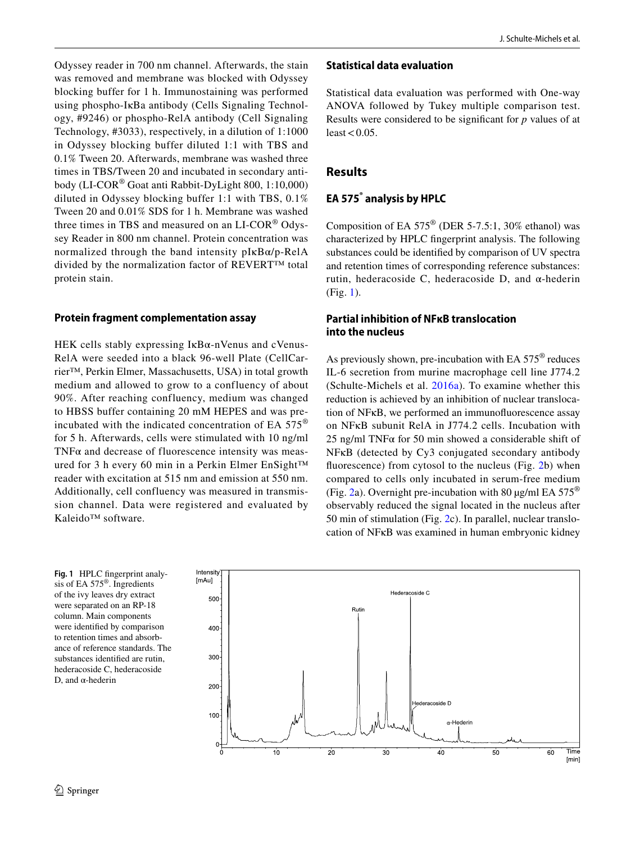Odyssey reader in 700 nm channel. Afterwards, the stain was removed and membrane was blocked with Odyssey blocking buffer for 1 h. Immunostaining was performed using phospho-IκBa antibody (Cells Signaling Technology, #9246) or phospho-RelA antibody (Cell Signaling Technology, #3033), respectively, in a dilution of 1:1000 in Odyssey blocking buffer diluted 1:1 with TBS and 0.1% Tween 20. Afterwards, membrane was washed three times in TBS/Tween 20 and incubated in secondary antibody (LI-COR® Goat anti Rabbit-DyLight 800, 1:10,000) diluted in Odyssey blocking buffer 1:1 with TBS, 0.1% Tween 20 and 0.01% SDS for 1 h. Membrane was washed three times in TBS and measured on an LI-COR® Odyssey Reader in 800 nm channel. Protein concentration was normalized through the band intensity pIκBα/p-RelA divided by the normalization factor of REVERT™ total protein stain.

## **Protein fragment complementation assay**

HEK cells stably expressing IκBα-nVenus and cVenus-RelA were seeded into a black 96-well Plate (CellCarrier™, Perkin Elmer, Massachusetts, USA) in total growth medium and allowed to grow to a confluency of about 90%. After reaching confluency, medium was changed to HBSS buffer containing 20 mM HEPES and was preincubated with the indicated concentration of EA  $575^{\circ}$ for 5 h. Afterwards, cells were stimulated with 10 ng/ml TNF $\alpha$  and decrease of fluorescence intensity was measured for 3 h every 60 min in a Perkin Elmer EnSight™ reader with excitation at 515 nm and emission at 550 nm. Additionally, cell confluency was measured in transmission channel. Data were registered and evaluated by Kaleido™ software.

### **Statistical data evaluation**

Statistical data evaluation was performed with One-way ANOVA followed by Tukey multiple comparison test. Results were considered to be signifcant for *p* values of at least  $< 0.05$ .

# **Results**

# **EA 575® analysis by HPLC**

Composition of EA  $575^{\circ}$  (DER 5-7.5:1, 30% ethanol) was characterized by HPLC fngerprint analysis. The following substances could be identifed by comparison of UV spectra and retention times of corresponding reference substances: rutin, hederacoside C, hederacoside D, and α-hederin (Fig. [1\)](#page-3-0).

# **Partial inhibition of NFκB translocation into the nucleus**

As previously shown, pre-incubation with EA 575® reduces IL-6 secretion from murine macrophage cell line J774.2 (Schulte-Michels et al. [2016a\)](#page-7-3). To examine whether this reduction is achieved by an inhibition of nuclear translocation of NFκB, we performed an immunofuorescence assay on NFκB subunit RelA in J774.2 cells. Incubation with 25 ng/ml TNF $\alpha$  for 50 min showed a considerable shift of NFκB (detected by Cy3 conjugated secondary antibody fluorescence) from cytosol to the nucleus (Fig. [2](#page-4-0)b) when compared to cells only incubated in serum-free medium (Fig. [2a](#page-4-0)). Overnight pre-incubation with 80  $\mu$ g/ml EA 575<sup>®</sup> observably reduced the signal located in the nucleus after 50 min of stimulation (Fig. [2](#page-4-0)c). In parallel, nuclear translocation of NFκB was examined in human embryonic kidney

<span id="page-3-0"></span>**Fig. 1** HPLC fngerprint analysis of EA 575®. Ingredients of the ivy leaves dry extract were separated on an RP-18 column. Main components were identifed by comparison to retention times and absorbance of reference standards. The substances identifed are rutin, hederacoside C, hederacoside D, and α-hederin

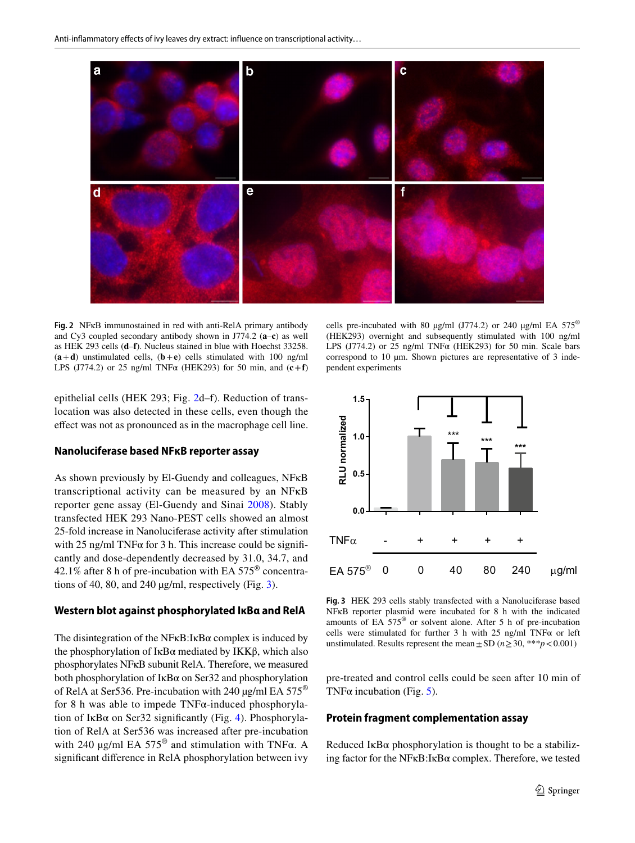

<span id="page-4-0"></span>**Fig. 2** NFκB immunostained in red with anti-RelA primary antibody and Cy3 coupled secondary antibody shown in J774.2 (**a**–**c**) as well as HEK 293 cells (**d**–**f**). Nucleus stained in blue with Hoechst 33258.  $(a+d)$  unstimulated cells,  $(b+e)$  cells stimulated with 100 ng/ml LPS (J774.2) or 25 ng/ml TNF $\alpha$  (HEK293) for 50 min, and  $(c + f)$ 

epithelial cells (HEK 293; Fig. [2d](#page-4-0)–f). Reduction of translocation was also detected in these cells, even though the efect was not as pronounced as in the macrophage cell line.

#### **Nanoluciferase based NFκB reporter assay**

As shown previously by El-Guendy and colleagues, NFκB transcriptional activity can be measured by an NFκB reporter gene assay (El-Guendy and Sinai [2008](#page-7-12)). Stably transfected HEK 293 Nano-PEST cells showed an almost 25-fold increase in Nanoluciferase activity after stimulation with 25 ng/ml TNF $\alpha$  for 3 h. This increase could be significantly and dose-dependently decreased by 31.0, 34.7, and 42.1% after 8 h of pre-incubation with EA 575® concentrations of 40, 80, and 240 µg/ml, respectively (Fig. [3](#page-4-1)).

#### **Western blot against phosphorylated IκBα and RelA**

The disintegration of the NFκB:IκBα complex is induced by the phosphorylation of IκBα mediated by IKKβ, which also phosphorylates NFκB subunit RelA. Therefore, we measured both phosphorylation of IκBα on Ser32 and phosphorylation of RelA at Ser536. Pre-incubation with 240  $\mu$ g/ml EA 575<sup>®</sup> for 8 h was able to impede TNFα-induced phosphorylation of IkB $\alpha$  on Ser32 significantly (Fig. [4\)](#page-5-0). Phosphorylation of RelA at Ser536 was increased after pre-incubation with 240  $\mu$ g/ml EA 575<sup>®</sup> and stimulation with TNF $\alpha$ . A signifcant diference in RelA phosphorylation between ivy

cells pre-incubated with 80  $\mu$ g/ml (J774.2) or 240  $\mu$ g/ml EA 575<sup>®</sup> (HEK293) overnight and subsequently stimulated with 100 ng/ml LPS (J774.2) or 25 ng/ml TNF $\alpha$  (HEK293) for 50 min. Scale bars correspond to 10  $\mu$ m. Shown pictures are representative of 3 independent experiments



<span id="page-4-1"></span>**Fig. 3** HEK 293 cells stably transfected with a Nanoluciferase based NFκB reporter plasmid were incubated for 8 h with the indicated amounts of EA 575® or solvent alone. After 5 h of pre-incubation cells were stimulated for further 3 h with 25 ng/ml TNF $\alpha$  or left unstimulated. Results represent the mean  $\pm$  SD ( $n \ge 30$ , \*\*\* $p < 0.001$ )

pre-treated and control cells could be seen after 10 min of TNF $\alpha$  incubation (Fig. [5](#page-5-1)).

#### **Protein fragment complementation assay**

Reduced I $\kappa$ B $\alpha$  phosphorylation is thought to be a stabilizing factor for the NF $\kappa$ B:I $\kappa$ B $\alpha$  complex. Therefore, we tested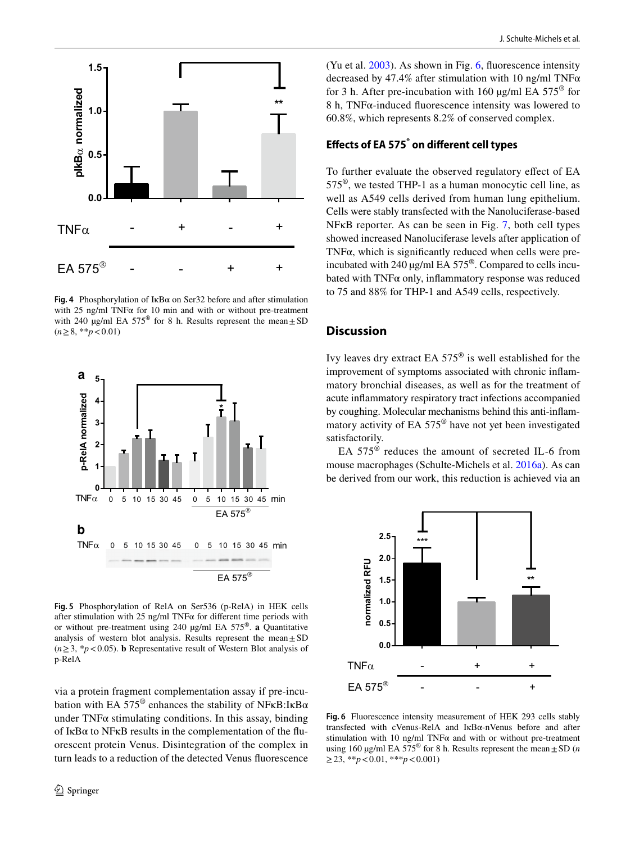

<span id="page-5-0"></span>**Fig. 4** Phosphorylation of IκBα on Ser32 before and after stimulation with 25 ng/ml TNF $\alpha$  for 10 min and with or without pre-treatment with 240  $\mu$ g/ml EA 575<sup>®</sup> for 8 h. Results represent the mean $\pm$ SD (*n*≥8, \*\**p*<0.01)



<span id="page-5-1"></span>**Fig. 5** Phosphorylation of RelA on Ser536 (p-RelA) in HEK cells after stimulation with 25 ng/ml TNF $\alpha$  for different time periods with or without pre-treatment using 240 µg/ml EA 575®. **a** Quantitative analysis of western blot analysis. Results represent the mean $\pm$ SD  $(n \geq 3, *p < 0.05)$ . **b** Representative result of Western Blot analysis of p-RelA

via a protein fragment complementation assay if pre-incubation with EA 575<sup>®</sup> enhances the stability of NF<sub>K</sub>B:I<sub>K</sub>B $\alpha$ under  $TNF\alpha$  stimulating conditions. In this assay, binding of  $I \kappa B\alpha$  to NF $\kappa B$  results in the complementation of the fluorescent protein Venus. Disintegration of the complex in turn leads to a reduction of the detected Venus fuorescence (Yu et al. [2003](#page-8-1)). As shown in Fig. [6](#page-5-2), fuorescence intensity decreased by 47.4% after stimulation with 10 ng/ml TNF $\alpha$ for 3 h. After pre-incubation with 160  $\mu$ g/ml EA 575<sup>®</sup> for 8 h, TNFα-induced fuorescence intensity was lowered to 60.8%, which represents 8.2% of conserved complex.

# **Efects of EA 575® on diferent cell types**

To further evaluate the observed regulatory efect of EA 575®, we tested THP-1 as a human monocytic cell line, as well as A549 cells derived from human lung epithelium. Cells were stably transfected with the Nanoluciferase-based NFκB reporter. As can be seen in Fig. [7](#page-6-0), both cell types showed increased Nanoluciferase levels after application of TNF $\alpha$ , which is significantly reduced when cells were preincubated with 240 µg/ml EA 575®. Compared to cells incubated with  $TNF\alpha$  only, inflammatory response was reduced to 75 and 88% for THP-1 and A549 cells, respectively.

# **Discussion**

Ivy leaves dry extract EA 575® is well established for the improvement of symptoms associated with chronic infammatory bronchial diseases, as well as for the treatment of acute infammatory respiratory tract infections accompanied by coughing. Molecular mechanisms behind this anti-infammatory activity of EA 575® have not yet been investigated satisfactorily.

EA 575® reduces the amount of secreted IL-6 from mouse macrophages (Schulte-Michels et al. [2016a](#page-7-3)). As can be derived from our work, this reduction is achieved via an



<span id="page-5-2"></span>**Fig. 6** Fluorescence intensity measurement of HEK 293 cells stably transfected with cVenus-RelA and IκBα-nVenus before and after stimulation with 10 ng/ml TNF $\alpha$  and with or without pre-treatment using 160  $\mu$ g/ml EA 575<sup>®</sup> for 8 h. Results represent the mean $\pm$ SD (*n* ≥23, \*\**p*<0.01, \*\*\**p*<0.001)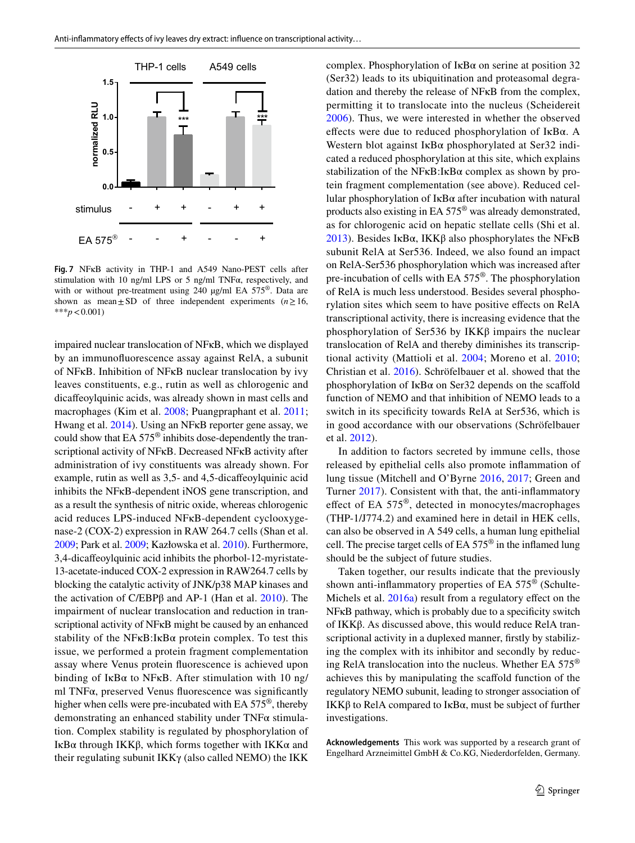

<span id="page-6-0"></span>**Fig. 7** NFκB activity in THP-1 and A549 Nano-PEST cells after stimulation with 10 ng/ml LPS or 5 ng/ml TNF $\alpha$ , respectively, and with or without pre-treatment using 240  $\mu$ g/ml EA 575<sup>®</sup>. Data are shown as mean $\pm$ SD of three independent experiments (*n*  $\geq$  16, \*\*\**p*<0.001)

impaired nuclear translocation of NFκB, which we displayed by an immunofuorescence assay against RelA, a subunit of NFκB. Inhibition of NFκB nuclear translocation by ivy leaves constituents, e.g., rutin as well as chlorogenic and dicafeoylquinic acids, was already shown in mast cells and macrophages (Kim et al. [2008](#page-7-13); Puangpraphant et al. [2011](#page-7-14); Hwang et al. [2014\)](#page-7-15). Using an NFκB reporter gene assay, we could show that EA 575® inhibits dose-dependently the transcriptional activity of NFκB. Decreased NFκB activity after administration of ivy constituents was already shown. For example, rutin as well as 3,5- and 4,5-dicafeoylquinic acid inhibits the NFκB-dependent iNOS gene transcription, and as a result the synthesis of nitric oxide, whereas chlorogenic acid reduces LPS-induced NFκB-dependent cyclooxygenase-2 (COX-2) expression in RAW 264.7 cells (Shan et al. [2009;](#page-7-16) Park et al. [2009;](#page-7-17) Kazłowska et al. [2010\)](#page-7-18). Furthermore, 3,4-dicafeoylquinic acid inhibits the phorbol-12-myristate-13-acetate-induced COX-2 expression in RAW264.7 cells by blocking the catalytic activity of JNK/p38 MAP kinases and the activation of C/EBPβ and AP-1 (Han et al. [2010\)](#page-7-19). The impairment of nuclear translocation and reduction in transcriptional activity of NFκB might be caused by an enhanced stability of the NF $\kappa$ B:I $\kappa$ B $\alpha$  protein complex. To test this issue, we performed a protein fragment complementation assay where Venus protein fuorescence is achieved upon binding of IkB $\alpha$  to NFKB. After stimulation with 10 ng/ ml TNFα, preserved Venus fuorescence was signifcantly higher when cells were pre-incubated with EA 575®, thereby demonstrating an enhanced stability under TNFα stimulation. Complex stability is regulated by phosphorylation of IκBα through IKKβ, which forms together with IKKα and their regulating subunit IKKγ (also called NEMO) the IKK

complex. Phosphorylation of  $I \kappa B\alpha$  on serine at position 32 (Ser32) leads to its ubiquitination and proteasomal degradation and thereby the release of NFκB from the complex, permitting it to translocate into the nucleus (Scheidereit [2006\)](#page-7-20). Thus, we were interested in whether the observed effects were due to reduced phosphorylation of  $I \kappa B\alpha$ . A Western blot against IκBα phosphorylated at Ser32 indicated a reduced phosphorylation at this site, which explains stabilization of the NF $\kappa$ B:I $\kappa$ B $\alpha$  complex as shown by protein fragment complementation (see above). Reduced cellular phosphorylation of IκBα after incubation with natural products also existing in EA 575® was already demonstrated, as for chlorogenic acid on hepatic stellate cells (Shi et al. [2013](#page-7-21)). Besides IκBα, IKKβ also phosphorylates the NFκB subunit RelA at Ser536. Indeed, we also found an impact on RelA-Ser536 phosphorylation which was increased after pre-incubation of cells with EA 575®. The phosphorylation of RelA is much less understood. Besides several phosphorylation sites which seem to have positive efects on RelA transcriptional activity, there is increasing evidence that the phosphorylation of Ser536 by IKKβ impairs the nuclear translocation of RelA and thereby diminishes its transcriptional activity (Mattioli et al. [2004;](#page-7-22) Moreno et al. [2010](#page-7-23); Christian et al. [2016](#page-7-24)). Schröfelbauer et al. showed that the phosphorylation of  $I \kappa B\alpha$  on Ser32 depends on the scaffold function of NEMO and that inhibition of NEMO leads to a switch in its specificity towards RelA at Ser536, which is in good accordance with our observations (Schröfelbauer et al. [2012](#page-7-25)).

In addition to factors secreted by immune cells, those released by epithelial cells also promote infammation of lung tissue (Mitchell and O'Byrne [2016](#page-7-26), [2017](#page-7-27); Green and Turner [2017](#page-7-28)). Consistent with that, the anti-infammatory effect of EA 575<sup>®</sup>, detected in monocytes/macrophages (THP-1/J774.2) and examined here in detail in HEK cells, can also be observed in A 549 cells, a human lung epithelial cell. The precise target cells of EA 575® in the infamed lung should be the subject of future studies.

Taken together, our results indicate that the previously shown anti-infammatory properties of EA 575® (Schulte-Michels et al.  $2016a$ ) result from a regulatory effect on the NFκB pathway, which is probably due to a specifcity switch of IKKβ. As discussed above, this would reduce RelA transcriptional activity in a duplexed manner, frstly by stabilizing the complex with its inhibitor and secondly by reducing RelA translocation into the nucleus. Whether EA 575® achieves this by manipulating the scafold function of the regulatory NEMO subunit, leading to stronger association of IKKβ to RelA compared to IκBα, must be subject of further investigations.

**Acknowledgements** This work was supported by a research grant of Engelhard Arzneimittel GmbH & Co.KG, Niederdorfelden, Germany.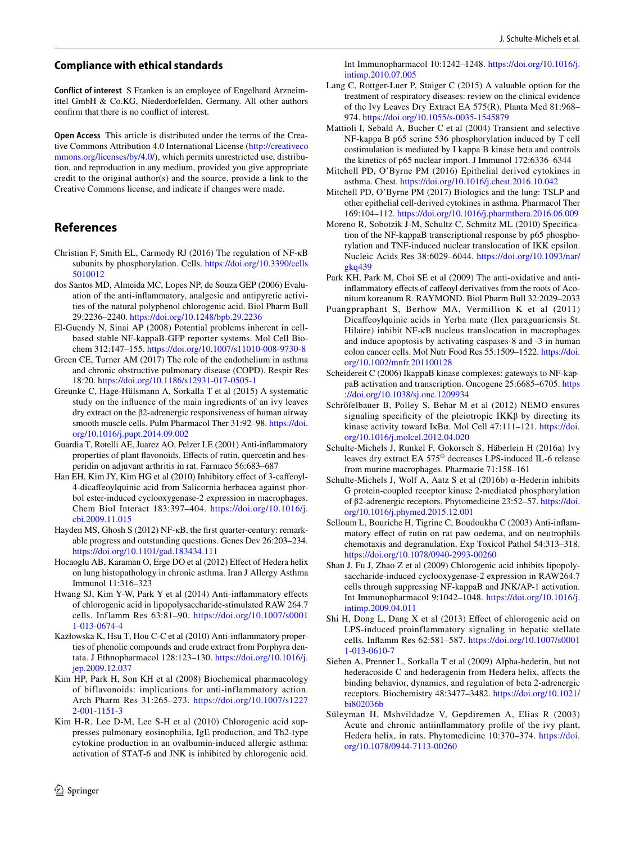#### **Compliance with ethical standards**

**Conflict of interest** S Franken is an employee of Engelhard Arzneimittel GmbH & Co.KG, Niederdorfelden, Germany. All other authors confrm that there is no confict of interest.

**Open Access** This article is distributed under the terms of the Creative Commons Attribution 4.0 International License [\(http://creativeco](http://creativecommons.org/licenses/by/4.0/) [mmons.org/licenses/by/4.0/](http://creativecommons.org/licenses/by/4.0/)), which permits unrestricted use, distribution, and reproduction in any medium, provided you give appropriate credit to the original author(s) and the source, provide a link to the Creative Commons license, and indicate if changes were made.

## **References**

- <span id="page-7-24"></span>Christian F, Smith EL, Carmody RJ (2016) The regulation of NF-κB subunits by phosphorylation. Cells. [https://doi.org/10.3390/cells](https://doi.org/10.3390/cells5010012) [5010012](https://doi.org/10.3390/cells5010012)
- <span id="page-7-5"></span>dos Santos MD, Almeida MC, Lopes NP, de Souza GEP (2006) Evaluation of the anti-infammatory, analgesic and antipyretic activities of the natural polyphenol chlorogenic acid. Biol Pharm Bull 29:2236–2240. <https://doi.org/10.1248/bpb.29.2236>
- <span id="page-7-12"></span>El-Guendy N, Sinai AP (2008) Potential problems inherent in cellbased stable NF-kappaB-GFP reporter systems. Mol Cell Biochem 312:147–155.<https://doi.org/10.1007/s11010-008-9730-8>
- <span id="page-7-28"></span>Green CE, Turner AM (2017) The role of the endothelium in asthma and chronic obstructive pulmonary disease (COPD). Respir Res 18:20. <https://doi.org/10.1186/s12931-017-0505-1>
- <span id="page-7-11"></span>Greunke C, Hage-Hülsmann A, Sorkalla T et al (2015) A systematic study on the infuence of the main ingredients of an ivy leaves dry extract on the β2-adrenergic responsiveness of human airway smooth muscle cells. Pulm Pharmacol Ther 31:92–98. [https://doi.](https://doi.org/10.1016/j.pupt.2014.09.002) [org/10.1016/j.pupt.2014.09.002](https://doi.org/10.1016/j.pupt.2014.09.002)
- <span id="page-7-6"></span>Guardia T, Rotelli AE, Juarez AO, Pelzer LE (2001) Anti-infammatory properties of plant flavonoids. Effects of rutin, quercetin and hesperidin on adjuvant arthritis in rat. Farmaco 56:683–687
- <span id="page-7-19"></span>Han EH, Kim JY, Kim HG et al (2010) Inhibitory efect of 3-cafeoyl-4-dicafeoylquinic acid from Salicornia herbacea against phorbol ester-induced cyclooxygenase-2 expression in macrophages. Chem Biol Interact 183:397–404. [https://doi.org/10.1016/j.](https://doi.org/10.1016/j.cbi.2009.11.015) [cbi.2009.11.015](https://doi.org/10.1016/j.cbi.2009.11.015)
- <span id="page-7-10"></span>Hayden MS, Ghosh S (2012) NF-κB, the frst quarter-century: remarkable progress and outstanding questions. Genes Dev 26:203–234. <https://doi.org/10.1101/gad.183434.111>
- <span id="page-7-8"></span>Hocaoglu AB, Karaman O, Erge DO et al (2012) Efect of Hedera helix on lung histopathology in chronic asthma. Iran J Allergy Asthma Immunol 11:316–323
- <span id="page-7-15"></span>Hwang SJ, Kim Y-W, Park Y et al (2014) Anti-infammatory efects of chlorogenic acid in lipopolysaccharide-stimulated RAW 264.7 cells. Inflamm Res 63:81–90. [https://doi.org/10.1007/s0001](https://doi.org/10.1007/s00011-013-0674-4) [1-013-0674-4](https://doi.org/10.1007/s00011-013-0674-4)
- <span id="page-7-18"></span>Kazłowska K, Hsu T, Hou C-C et al (2010) Anti-infammatory properties of phenolic compounds and crude extract from Porphyra dentata. J Ethnopharmacol 128:123–130. [https://doi.org/10.1016/j.](https://doi.org/10.1016/j.jep.2009.12.037) [jep.2009.12.037](https://doi.org/10.1016/j.jep.2009.12.037)
- <span id="page-7-13"></span>Kim HP, Park H, Son KH et al (2008) Biochemical pharmacology of biflavonoids: implications for anti-inflammatory action. Arch Pharm Res 31:265–273. [https://doi.org/10.1007/s1227](https://doi.org/10.1007/s12272-001-1151-3) [2-001-1151-3](https://doi.org/10.1007/s12272-001-1151-3)
- <span id="page-7-7"></span>Kim H-R, Lee D-M, Lee S-H et al (2010) Chlorogenic acid suppresses pulmonary eosinophilia, IgE production, and Th2-type cytokine production in an ovalbumin-induced allergic asthma: activation of STAT-6 and JNK is inhibited by chlorogenic acid.

Int Immunopharmacol 10:1242–1248. [https://doi.org/10.1016/j.](https://doi.org/10.1016/j.intimp.2010.07.005) [intimp.2010.07.005](https://doi.org/10.1016/j.intimp.2010.07.005)

<span id="page-7-0"></span>Lang C, Rottger-Luer P, Staiger C (2015) A valuable option for the treatment of respiratory diseases: review on the clinical evidence of the Ivy Leaves Dry Extract EA 575(R). Planta Med 81:968– 974.<https://doi.org/10.1055/s-0035-1545879>

<span id="page-7-22"></span>Mattioli I, Sebald A, Bucher C et al (2004) Transient and selective NF-kappa B p65 serine 536 phosphorylation induced by T cell costimulation is mediated by I kappa B kinase beta and controls the kinetics of p65 nuclear import. J Immunol 172:6336–6344

- <span id="page-7-26"></span>Mitchell PD, O'Byrne PM (2016) Epithelial derived cytokines in asthma. Chest.<https://doi.org/10.1016/j.chest.2016.10.042>
- <span id="page-7-27"></span>Mitchell PD, O'Byrne PM (2017) Biologics and the lung: TSLP and other epithelial cell-derived cytokines in asthma. Pharmacol Ther 169:104–112. <https://doi.org/10.1016/j.pharmthera.2016.06.009>
- <span id="page-7-23"></span>Moreno R, Sobotzik J-M, Schultz C, Schmitz ML (2010) Specifcation of the NF-kappaB transcriptional response by p65 phosphorylation and TNF-induced nuclear translocation of IKK epsilon. Nucleic Acids Res 38:6029–6044. [https://doi.org/10.1093/nar/](https://doi.org/10.1093/nar/gkq439) [gkq439](https://doi.org/10.1093/nar/gkq439)
- <span id="page-7-17"></span>Park KH, Park M, Choi SE et al (2009) The anti-oxidative and antiinfammatory efects of cafeoyl derivatives from the roots of Aconitum koreanum R. RAYMOND. Biol Pharm Bull 32:2029–2033
- <span id="page-7-14"></span>Puangpraphant S, Berhow MA, Vermillion K et al (2011) Dicafeoylquinic acids in Yerba mate (Ilex paraguariensis St. Hilaire) inhibit NF-κB nucleus translocation in macrophages and induce apoptosis by activating caspases-8 and -3 in human colon cancer cells. Mol Nutr Food Res 55:1509–1522. [https://doi.](https://doi.org/10.1002/mnfr.201100128) [org/10.1002/mnfr.201100128](https://doi.org/10.1002/mnfr.201100128)
- <span id="page-7-20"></span>Scheidereit C (2006) IkappaB kinase complexes: gateways to NF-kappaB activation and transcription. Oncogene 25:6685–6705. [https](https://doi.org/10.1038/sj.onc.1209934) [://doi.org/10.1038/sj.onc.1209934](https://doi.org/10.1038/sj.onc.1209934)
- <span id="page-7-25"></span>Schröfelbauer B, Polley S, Behar M et al (2012) NEMO ensures signaling specificity of the pleiotropic  $IKK\beta$  by directing its kinase activity toward IκBα. Mol Cell 47:111–121. [https://doi.](https://doi.org/10.1016/j.molcel.2012.04.020) [org/10.1016/j.molcel.2012.04.020](https://doi.org/10.1016/j.molcel.2012.04.020)
- <span id="page-7-3"></span>Schulte-Michels J, Runkel F, Gokorsch S, Häberlein H (2016a) Ivy leaves dry extract EA 575® decreases LPS-induced IL-6 release from murine macrophages. Pharmazie 71:158–161
- <span id="page-7-2"></span>Schulte-Michels J, Wolf A, Aatz S et al (2016b) α-Hederin inhibits G protein-coupled receptor kinase 2-mediated phosphorylation of β2-adrenergic receptors. Phytomedicine 23:52–57. [https://doi.](https://doi.org/10.1016/j.phymed.2015.12.001) [org/10.1016/j.phymed.2015.12.001](https://doi.org/10.1016/j.phymed.2015.12.001)
- <span id="page-7-4"></span>Selloum L, Bouriche H, Tigrine C, Boudoukha C (2003) Anti-infammatory efect of rutin on rat paw oedema, and on neutrophils chemotaxis and degranulation. Exp Toxicol Pathol 54:313–318. <https://doi.org/10.1078/0940-2993-00260>
- <span id="page-7-16"></span>Shan J, Fu J, Zhao Z et al (2009) Chlorogenic acid inhibits lipopolysaccharide-induced cyclooxygenase-2 expression in RAW264.7 cells through suppressing NF-kappaB and JNK/AP-1 activation. Int Immunopharmacol 9:1042–1048. [https://doi.org/10.1016/j.](https://doi.org/10.1016/j.intimp.2009.04.011) [intimp.2009.04.011](https://doi.org/10.1016/j.intimp.2009.04.011)
- <span id="page-7-21"></span>Shi H, Dong L, Dang X et al (2013) Efect of chlorogenic acid on LPS-induced proinflammatory signaling in hepatic stellate cells. Infamm Res 62:581–587. [https://doi.org/10.1007/s0001](https://doi.org/10.1007/s00011-013-0610-7) [1-013-0610-7](https://doi.org/10.1007/s00011-013-0610-7)
- <span id="page-7-1"></span>Sieben A, Prenner L, Sorkalla T et al (2009) Alpha-hederin, but not hederacoside C and hederagenin from Hedera helix, affects the binding behavior, dynamics, and regulation of beta 2-adrenergic receptors. Biochemistry 48:3477–3482. [https://doi.org/10.1021/](https://doi.org/10.1021/bi802036b) [bi802036b](https://doi.org/10.1021/bi802036b)
- <span id="page-7-9"></span>Süleyman H, Mshvildadze V, Gepdiremen A, Elias R (2003) Acute and chronic antiinfammatory profle of the ivy plant, Hedera helix, in rats. Phytomedicine 10:370–374. [https://doi.](https://doi.org/10.1078/0944-7113-00260) [org/10.1078/0944-7113-00260](https://doi.org/10.1078/0944-7113-00260)